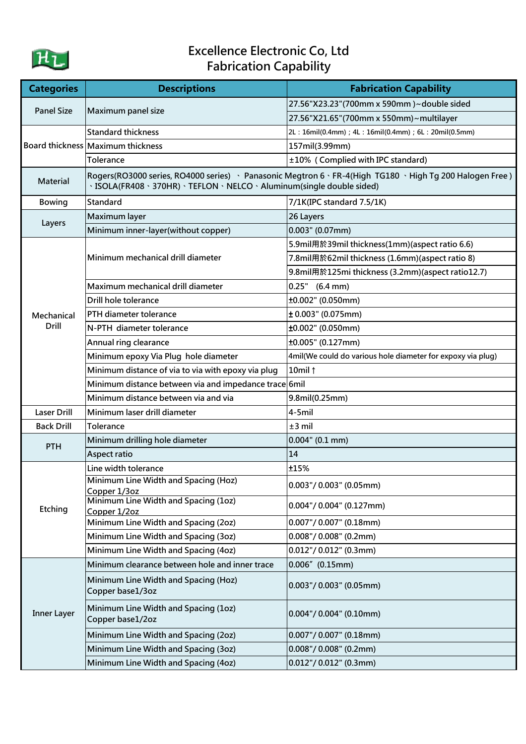

## Excellence Electronic Co, Ltd Fabrication Capability

| <b>Categories</b>          | <b>Descriptions</b>                                                                                                                                                                 | <b>Fabrication Capability</b>                               |
|----------------------------|-------------------------------------------------------------------------------------------------------------------------------------------------------------------------------------|-------------------------------------------------------------|
| <b>Panel Size</b>          | Maximum panel size                                                                                                                                                                  | 27.56"X23.23"(700mm x 590mm)~double sided                   |
|                            |                                                                                                                                                                                     | 27.56"X21.65"(700mm x 550mm)~multilayer                     |
|                            | <b>Standard thickness</b>                                                                                                                                                           | 2L: 16mil(0.4mm); 4L: 16mil(0.4mm); 6L: 20mil(0.5mm)        |
|                            | Board thickness Maximum thickness                                                                                                                                                   | 157mil(3.99mm)                                              |
|                            | Tolerance                                                                                                                                                                           | ±10% (Complied with IPC standard)                           |
| <b>Material</b>            | Rogers(RO3000 series, RO4000 series) · Panasonic Megtron 6 · FR-4(High TG180 · High Tg 200 Halogen Free)<br>· ISOLA(FR408 · 370HR) · TEFLON · NELCO · Aluminum(single double sided) |                                                             |
| <b>Bowing</b>              | Standard                                                                                                                                                                            | 7/1K(IPC standard 7.5/1K)                                   |
| Layers                     | Maximum layer                                                                                                                                                                       | 26 Layers                                                   |
|                            | Minimum inner-layer(without copper)                                                                                                                                                 | $0.003$ " (0.07mm)                                          |
| Mechanical<br><b>Drill</b> | Minimum mechanical drill diameter                                                                                                                                                   | 5.9mil用於39mil thickness(1mm)(aspect ratio 6.6)              |
|                            |                                                                                                                                                                                     | 7.8mil用於62mil thickness (1.6mm)(aspect ratio 8)             |
|                            |                                                                                                                                                                                     | 9.8mil用於125mi thickness (3.2mm)(aspect ratio12.7)           |
|                            | Maximum mechanical drill diameter                                                                                                                                                   | $0.25"$ (6.4 mm)                                            |
|                            | Drill hole tolerance                                                                                                                                                                | ±0.002" (0.050mm)                                           |
|                            | PTH diameter tolerance                                                                                                                                                              | ± 0.003" (0.075mm)                                          |
|                            | N-PTH diameter tolerance                                                                                                                                                            | ±0.002" (0.050mm)                                           |
|                            | Annual ring clearance                                                                                                                                                               | ±0.005" (0.127mm)                                           |
|                            | Minimum epoxy Via Plug hole diameter                                                                                                                                                | 4mil(We could do various hole diameter for expoxy via plug) |
|                            | Minimum distance of via to via with epoxy via plug                                                                                                                                  | 10mil 1                                                     |
|                            | Minimum distance between via and impedance trace 6mil                                                                                                                               |                                                             |
|                            | Minimum distance between via and via                                                                                                                                                | 9.8mil(0.25mm)                                              |
| <b>Laser Drill</b>         | Minimum laser drill diameter                                                                                                                                                        | 4-5mil                                                      |
| <b>Back Drill</b>          | <b>Tolerance</b>                                                                                                                                                                    | $±3$ mil                                                    |
| <b>PTH</b>                 | Minimum drilling hole diameter                                                                                                                                                      | $0.004$ " (0.1 mm)                                          |
|                            | Aspect ratio                                                                                                                                                                        | 14                                                          |
| Etching                    | Line width tolerance                                                                                                                                                                | ±15%                                                        |
|                            | Minimum Line Width and Spacing (Hoz)<br>Copper 1/3oz                                                                                                                                | $0.003$ "/ $0.003$ " (0.05mm)                               |
|                            | Minimum Line Width and Spacing (1oz)<br>Copper 1/2oz                                                                                                                                | $0.004$ "/ 0.004" (0.127mm)                                 |
|                            | Minimum Line Width and Spacing (2oz)                                                                                                                                                | $0.007$ "/ 0.007" (0.18mm)                                  |
|                            | Minimum Line Width and Spacing (3oz)                                                                                                                                                | $0.008$ "/ $0.008$ " (0.2mm)                                |
|                            | Minimum Line Width and Spacing (4oz)                                                                                                                                                | $0.012$ "/ $0.012$ " (0.3mm)                                |
| <b>Inner Layer</b>         | Minimum clearance between hole and inner trace                                                                                                                                      | $0.006''$ (0.15mm)                                          |
|                            | Minimum Line Width and Spacing (Hoz)<br>Copper base1/3oz                                                                                                                            | $0.003$ "/ 0.003" (0.05mm)                                  |
|                            | Minimum Line Width and Spacing (1oz)<br>Copper base1/2oz                                                                                                                            | $0.004$ "/ 0.004" (0.10mm)                                  |
|                            | Minimum Line Width and Spacing (2oz)                                                                                                                                                | $0.007$ "/ $0.007$ " (0.18mm)                               |
|                            | Minimum Line Width and Spacing (3oz)                                                                                                                                                | $0.008$ "/ $0.008$ " (0.2mm)                                |
|                            | Minimum Line Width and Spacing (4oz)                                                                                                                                                | $0.012$ "/ 0.012" (0.3mm)                                   |